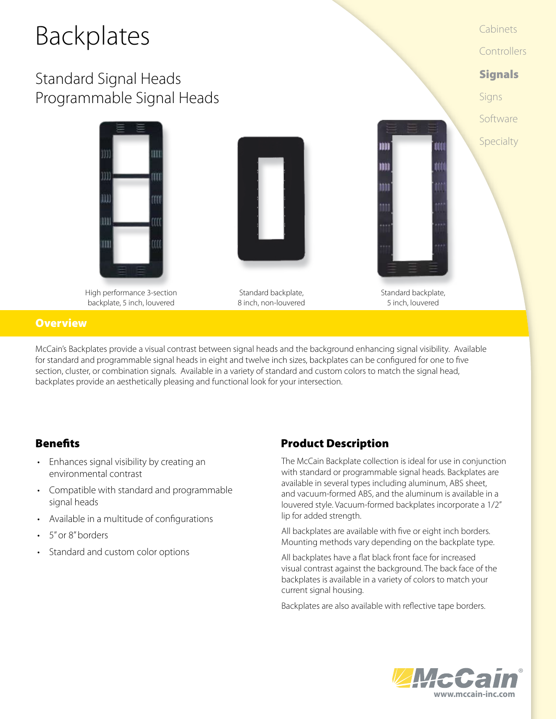# Backplates

## Standard Signal Heads Programmable Signal Heads







Standard backplate, 8 inch, non-louvered



Cabinets

**Controllers** 

**Signals** 

Software

Specialty

Signs

Standard backplate, 5 inch, louvered

#### **Overview**

McCain's Backplates provide a visual contrast between signal heads and the background enhancing signal visibility. Available for standard and programmable signal heads in eight and twelve inch sizes, backplates can be configured for one to five section, cluster, or combination signals. Available in a variety of standard and custom colors to match the signal head, backplates provide an aesthetically pleasing and functional look for your intersection.

- • Enhances signal visibility by creating an environmental contrast
- • Compatible with standard and programmable signal heads
- • Available in a multitude of configurations
- 5" or 8" borders
- Standard and custom color options

#### **Benefits** Product Description

The McCain Backplate collection is ideal for use in conjunction with standard or programmable signal heads. Backplates are available in several types including aluminum, ABS sheet, and vacuum-formed ABS, and the aluminum is available in a louvered style. Vacuum-formed backplates incorporate a 1/2" lip for added strength.

All backplates are available with five or eight inch borders. Mounting methods vary depending on the backplate type.

All backplates have a flat black front face for increased visual contrast against the background. The back face of the backplates is available in a variety of colors to match your current signal housing.

Backplates are also available with reflective tape borders.